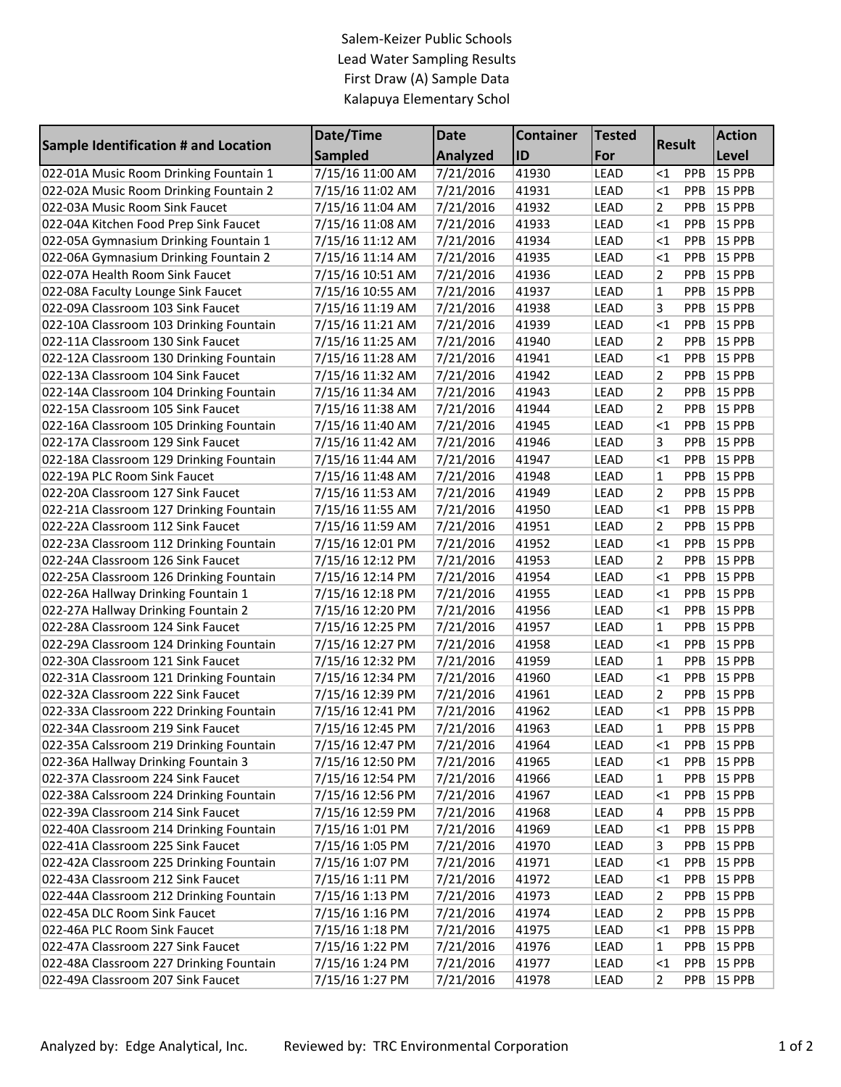## Salem-Keizer Public Schools Lead Water Sampling Results First Draw (A) Sample Data Kalapuya Elementary Schol

| <b>Sample Identification # and Location</b> | Date/Time        | <b>Date</b>     | <b>Container</b> | <b>Tested</b> | <b>Result</b>  |            | <b>Action</b> |
|---------------------------------------------|------------------|-----------------|------------------|---------------|----------------|------------|---------------|
|                                             | <b>Sampled</b>   | <b>Analyzed</b> | ID               | For           |                |            | Level         |
| 022-01A Music Room Drinking Fountain 1      | 7/15/16 11:00 AM | 7/21/2016       | 41930            | <b>LEAD</b>   | <1             | PPB        | <b>15 PPB</b> |
| 022-02A Music Room Drinking Fountain 2      | 7/15/16 11:02 AM | 7/21/2016       | 41931            | <b>LEAD</b>   | $\leq$ 1       | PPB        | <b>15 PPB</b> |
| 022-03A Music Room Sink Faucet              | 7/15/16 11:04 AM | 7/21/2016       | 41932            | <b>LEAD</b>   | 2              | PPB        | <b>15 PPB</b> |
| 022-04A Kitchen Food Prep Sink Faucet       | 7/15/16 11:08 AM | 7/21/2016       | 41933            | <b>LEAD</b>   | $\leq$ 1       | PPB        | <b>15 PPB</b> |
| 022-05A Gymnasium Drinking Fountain 1       | 7/15/16 11:12 AM | 7/21/2016       | 41934            | <b>LEAD</b>   | $\leq$ 1       | PPB        | 15 PPB        |
| 022-06A Gymnasium Drinking Fountain 2       | 7/15/16 11:14 AM | 7/21/2016       | 41935            | <b>LEAD</b>   | $\leq$ 1       | PPB        | 15 PPB        |
| 022-07A Health Room Sink Faucet             | 7/15/16 10:51 AM | 7/21/2016       | 41936            | <b>LEAD</b>   | 2              | PPB        | 15 PPB        |
| 022-08A Faculty Lounge Sink Faucet          | 7/15/16 10:55 AM | 7/21/2016       | 41937            | <b>LEAD</b>   | 1              | PPB        | 15 PPB        |
| 022-09A Classroom 103 Sink Faucet           | 7/15/16 11:19 AM | 7/21/2016       | 41938            | <b>LEAD</b>   | 3              | PPB        | 15 PPB        |
| 022-10A Classroom 103 Drinking Fountain     | 7/15/16 11:21 AM | 7/21/2016       | 41939            | <b>LEAD</b>   | $\leq$ 1       | PPB        | 15 PPB        |
| 022-11A Classroom 130 Sink Faucet           | 7/15/16 11:25 AM | 7/21/2016       | 41940            | <b>LEAD</b>   | $\overline{2}$ | PPB        | 15 PPB        |
| 022-12A Classroom 130 Drinking Fountain     | 7/15/16 11:28 AM | 7/21/2016       | 41941            | <b>LEAD</b>   | $\leq$ 1       | PPB        | 15 PPB        |
| 022-13A Classroom 104 Sink Faucet           | 7/15/16 11:32 AM | 7/21/2016       | 41942            | <b>LEAD</b>   | $\overline{2}$ | PPB        | 15 PPB        |
| 022-14A Classroom 104 Drinking Fountain     | 7/15/16 11:34 AM | 7/21/2016       | 41943            | <b>LEAD</b>   | 2              | PPB        | <b>15 PPB</b> |
| 022-15A Classroom 105 Sink Faucet           | 7/15/16 11:38 AM | 7/21/2016       | 41944            | <b>LEAD</b>   | $\overline{2}$ | PPB        | 15 PPB        |
| 022-16A Classroom 105 Drinking Fountain     | 7/15/16 11:40 AM | 7/21/2016       | 41945            | <b>LEAD</b>   | $\leq$ 1       | PPB        | <b>15 PPB</b> |
| 022-17A Classroom 129 Sink Faucet           | 7/15/16 11:42 AM | 7/21/2016       | 41946            | <b>LEAD</b>   | 3              | PPB        | <b>15 PPB</b> |
| 022-18A Classroom 129 Drinking Fountain     | 7/15/16 11:44 AM | 7/21/2016       | 41947            | <b>LEAD</b>   | $\leq$ 1       | PPB        | <b>15 PPB</b> |
| 022-19A PLC Room Sink Faucet                | 7/15/16 11:48 AM | 7/21/2016       | 41948            | <b>LEAD</b>   | 1              | PPB        | <b>15 PPB</b> |
| 022-20A Classroom 127 Sink Faucet           | 7/15/16 11:53 AM | 7/21/2016       | 41949            | <b>LEAD</b>   | $\overline{2}$ | PPB        | <b>15 PPB</b> |
| 022-21A Classroom 127 Drinking Fountain     | 7/15/16 11:55 AM | 7/21/2016       | 41950            | <b>LEAD</b>   | $\leq$ 1       | PPB        | <b>15 PPB</b> |
| 022-22A Classroom 112 Sink Faucet           | 7/15/16 11:59 AM | 7/21/2016       | 41951            | <b>LEAD</b>   | 2              | PPB        | <b>15 PPB</b> |
| 022-23A Classroom 112 Drinking Fountain     | 7/15/16 12:01 PM | 7/21/2016       | 41952            | <b>LEAD</b>   | $\leq$ 1       | PPB        | <b>15 PPB</b> |
| 022-24A Classroom 126 Sink Faucet           | 7/15/16 12:12 PM | 7/21/2016       | 41953            | <b>LEAD</b>   | 2              | PPB        | <b>15 PPB</b> |
| 022-25A Classroom 126 Drinking Fountain     | 7/15/16 12:14 PM | 7/21/2016       | 41954            | <b>LEAD</b>   | $\leq$ 1       | PPB        | <b>15 PPB</b> |
| 022-26A Hallway Drinking Fountain 1         | 7/15/16 12:18 PM | 7/21/2016       | 41955            | <b>LEAD</b>   | $\leq$ 1       | PPB        | <b>15 PPB</b> |
| 022-27A Hallway Drinking Fountain 2         | 7/15/16 12:20 PM | 7/21/2016       | 41956            | <b>LEAD</b>   | <1             | PPB        | <b>15 PPB</b> |
| 022-28A Classroom 124 Sink Faucet           | 7/15/16 12:25 PM | 7/21/2016       | 41957            | LEAD          | 1              | PPB        | <b>15 PPB</b> |
| 022-29A Classroom 124 Drinking Fountain     | 7/15/16 12:27 PM | 7/21/2016       | 41958            | <b>LEAD</b>   | $\leq$ 1       | PPB        | 15 PPB        |
| 022-30A Classroom 121 Sink Faucet           | 7/15/16 12:32 PM | 7/21/2016       | 41959            | <b>LEAD</b>   | 1              | PPB        | 15 PPB        |
| 022-31A Classroom 121 Drinking Fountain     | 7/15/16 12:34 PM | 7/21/2016       | 41960            | <b>LEAD</b>   | $\leq$ 1       | PPB        | 15 PPB        |
| 022-32A Classroom 222 Sink Faucet           | 7/15/16 12:39 PM | 7/21/2016       | 41961            | <b>LEAD</b>   | $\overline{2}$ | PPB        | <b>15 PPB</b> |
| 022-33A Classroom 222 Drinking Fountain     | 7/15/16 12:41 PM | 7/21/2016       | 41962            | <b>LEAD</b>   | $\leq$ 1       | PPB        | <b>15 PPB</b> |
| 022-34A Classroom 219 Sink Faucet           | 7/15/16 12:45 PM | 7/21/2016       | 41963            | <b>LEAD</b>   | 1              | PPB        | 15 PPB        |
| 022-35A Calssroom 219 Drinking Fountain     | 7/15/16 12:47 PM | 7/21/2016       | 41964            | LEAD          | <1             | PPB        | 15 PPB        |
| 022-36A Hallway Drinking Fountain 3         | 7/15/16 12:50 PM | 7/21/2016       | 41965            | LEAD          | <1             | PPB        | 15 PPB        |
| 022-37A Classroom 224 Sink Faucet           | 7/15/16 12:54 PM | 7/21/2016       | 41966            | LEAD          | 1              | <b>PPB</b> | <b>15 PPB</b> |
| 022-38A Calssroom 224 Drinking Fountain     | 7/15/16 12:56 PM | 7/21/2016       | 41967            | LEAD          | <1             | PPB        | 15 PPB        |
| 022-39A Classroom 214 Sink Faucet           | 7/15/16 12:59 PM | 7/21/2016       | 41968            | LEAD          | 4              | <b>PPB</b> | <b>15 PPB</b> |
| 022-40A Classroom 214 Drinking Fountain     | 7/15/16 1:01 PM  | 7/21/2016       | 41969            | LEAD          | $<$ 1          | <b>PPB</b> | 15 PPB        |
| 022-41A Classroom 225 Sink Faucet           | 7/15/16 1:05 PM  | 7/21/2016       | 41970            | LEAD          | 3              | PPB        | 15 PPB        |
| 022-42A Classroom 225 Drinking Fountain     | 7/15/16 1:07 PM  | 7/21/2016       | 41971            | LEAD          | $<$ 1          | PPB        | 15 PPB        |
| 022-43A Classroom 212 Sink Faucet           | 7/15/16 1:11 PM  | 7/21/2016       | 41972            | LEAD          | <1             | PPB        | 15 PPB        |
| 022-44A Classroom 212 Drinking Fountain     | 7/15/16 1:13 PM  | 7/21/2016       | 41973            | LEAD          | 2              | <b>PPB</b> | <b>15 PPB</b> |
| 022-45A DLC Room Sink Faucet                | 7/15/16 1:16 PM  | 7/21/2016       | 41974            | LEAD          | 2              | PPB        | <b>15 PPB</b> |
| 022-46A PLC Room Sink Faucet                | 7/15/16 1:18 PM  | 7/21/2016       | 41975            | LEAD          | <1             | PPB        | <b>15 PPB</b> |
| 022-47A Classroom 227 Sink Faucet           | 7/15/16 1:22 PM  | 7/21/2016       | 41976            | LEAD          | 1              | PPB        | <b>15 PPB</b> |
| 022-48A Classroom 227 Drinking Fountain     | 7/15/16 1:24 PM  | 7/21/2016       | 41977            | LEAD          | <1             | PPB        | <b>15 PPB</b> |
| 022-49A Classroom 207 Sink Faucet           | 7/15/16 1:27 PM  | 7/21/2016       | 41978            | LEAD          | 2              | PPB        | 15 PPB        |